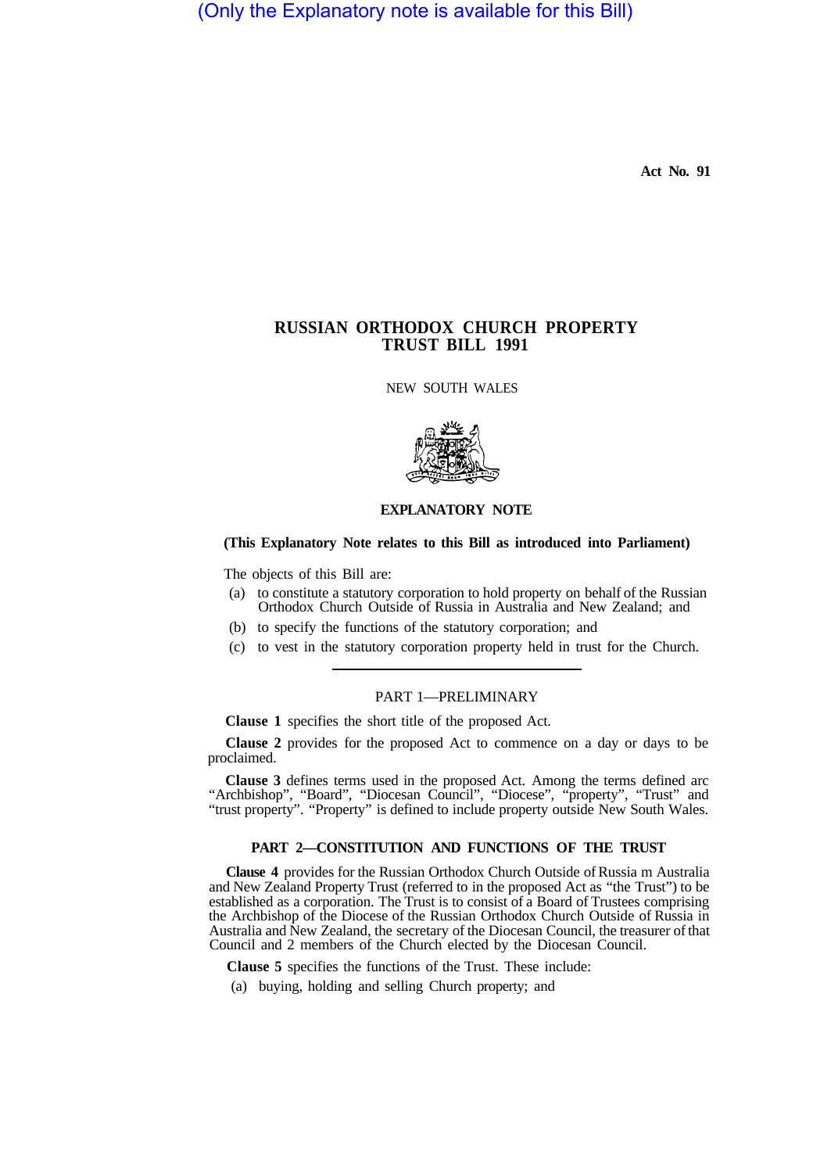(Only the Explanatory note is available for this Bill)

**Act No. 91** 

# **RUSSIAN ORTHODOX CHURCH PROPERTY TRUST BILL 1991**

NEW SOUTH WALES



## **EXPLANATORY NOTE**

## **(This Explanatory Note relates to this Bill as introduced into Parliament)**

The objects of this Bill are:

- (a) to constitute a statutory corporation to hold property on behalf of the Russian Orthodox Church Outside of Russia in Australia and New Zealand; and
- (b) to specify the functions of the statutory corporation; and
- (c) to vest in the statutory corporation property held in trust for the Church.

#### PART 1—PRELIMINARY

**Clause 1** specifies the short title of the proposed Act.

**Clause 2** provides for the proposed Act to commence on a day or days to be proclaimed.

**Clause 3** defines terms used in the proposed Act. Among the terms defined arc "Archbishop", "Board", "Diocesan Council", "Diocese", "property", "Trust" and "trust property". "Property" is defined to include property outside New South Wales.

#### **PART 2—CONSTITUTION AND FUNCTIONS OF THE TRUST**

**Clause 4** provides for the Russian Orthodox Church Outside of Russia m Australia and New Zealand Property Trust (referred to in the proposed Act as "the Trust") to be established as a corporation. The Trust is to consist of a Board of Trustees comprising the Archbishop of the Diocese of the Russian Orthodox Church Outside of Russia in Australia and New Zealand, the secretary of the Diocesan Council, the treasurer of that Council and 2 members of the Church elected by the Diocesan Council.

**Clause 5** specifies the functions of the Trust. These include:

(a) buying, holding and selling Church property; and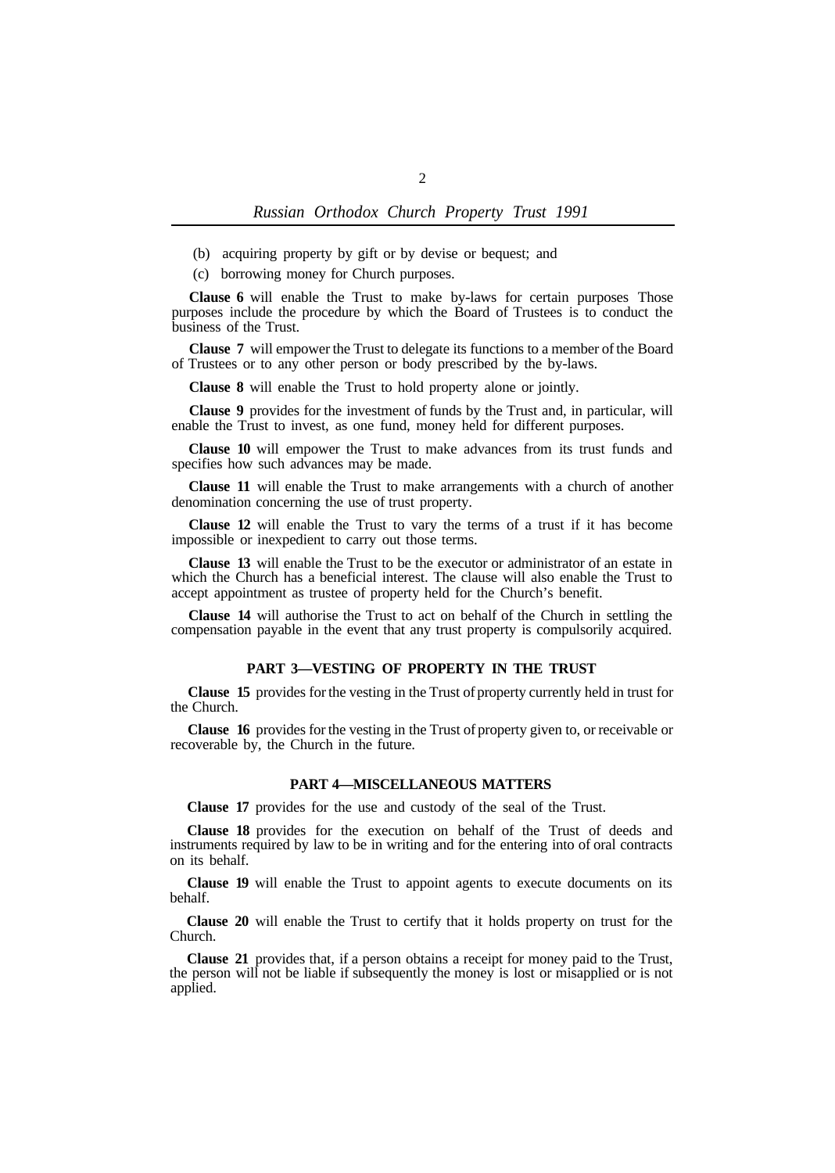(b) acquiring property by gift or by devise or bequest; and

(c) borrowing money for Church purposes.

**Clause 6** will enable the Trust to make by-laws for certain purposes Those purposes include the procedure by which the Board of Trustees is to conduct the business of the Trust.

**Clause 7** will empower the Trust to delegate its functions to a member of the Board of Trustees or to any other person or body prescribed by the by-laws.

**Clause 8** will enable the Trust to hold property alone or jointly.

**Clause 9** provides for the investment of funds by the Trust and, in particular, will enable the Trust to invest, as one fund, money held for different purposes.

**Clause 10** will empower the Trust to make advances from its trust funds and specifies how such advances may be made.

**Clause 11** will enable the Trust to make arrangements with a church of another denomination concerning the use of trust property.

**Clause 12** will enable the Trust to vary the terms of a trust if it has become impossible or inexpedient to carry out those terms.

**Clause 13** will enable the Trust to be the executor or administrator of an estate in which the Church has a beneficial interest. The clause will also enable the Trust to accept appointment as trustee of property held for the Church's benefit.

**Clause 14** will authorise the Trust to act on behalf of the Church in settling the compensation payable in the event that any trust property is compulsorily acquired.

#### **PART 3—VESTING OF PROPERTY IN THE TRUST**

**Clause 15** provides for the vesting in the Trust of property currently held in trust for the Church.

**Clause 16** provides for the vesting in the Trust of property given to, or receivable or recoverable by, the Church in the future.

## **PART 4—MISCELLANEOUS MATTERS**

**Clause 17** provides for the use and custody of the seal of the Trust.

**Clause 18** provides for the execution on behalf of the Trust of deeds and instruments required by law to be in writing and for the entering into of oral contracts on its behalf.

**Clause 19** will enable the Trust to appoint agents to execute documents on its behalf.

**Clause 20** will enable the Trust to certify that it holds property on trust for the Church.

**Clause 21** provides that, if a person obtains a receipt for money paid to the Trust, the person will not be liable if subsequently the money is lost or misapplied or is not applied.